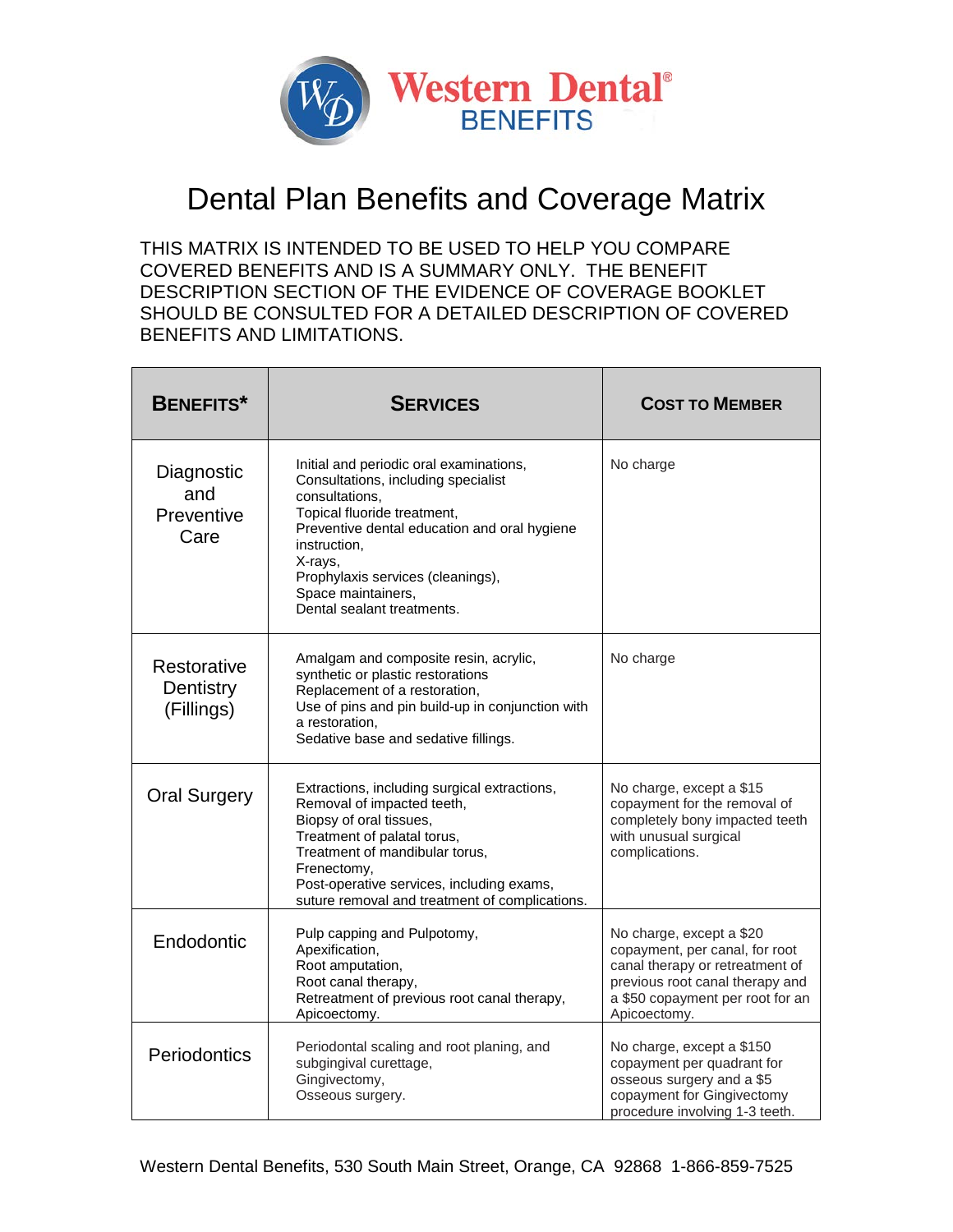

## Dental Plan Benefits and Coverage Matrix

THIS MATRIX IS INTENDED TO BE USED TO HELP YOU COMPARE COVERED BENEFITS AND IS A SUMMARY ONLY. THE BENEFIT DESCRIPTION SECTION OF THE EVIDENCE OF COVERAGE BOOKLET SHOULD BE CONSULTED FOR A DETAILED DESCRIPTION OF COVERED BENEFITS AND LIMITATIONS.

| <b>BENEFITS*</b>                        | <b>SERVICES</b>                                                                                                                                                                                                                                                                                     | <b>COST TO MEMBER</b>                                                                                                                                                                |
|-----------------------------------------|-----------------------------------------------------------------------------------------------------------------------------------------------------------------------------------------------------------------------------------------------------------------------------------------------------|--------------------------------------------------------------------------------------------------------------------------------------------------------------------------------------|
| Diagnostic<br>and<br>Preventive<br>Care | Initial and periodic oral examinations,<br>Consultations, including specialist<br>consultations,<br>Topical fluoride treatment,<br>Preventive dental education and oral hygiene<br>instruction.<br>X-rays,<br>Prophylaxis services (cleanings),<br>Space maintainers,<br>Dental sealant treatments. | No charge                                                                                                                                                                            |
| Restorative<br>Dentistry<br>(Fillings)  | Amalgam and composite resin, acrylic,<br>synthetic or plastic restorations<br>Replacement of a restoration,<br>Use of pins and pin build-up in conjunction with<br>a restoration.<br>Sedative base and sedative fillings.                                                                           | No charge                                                                                                                                                                            |
| <b>Oral Surgery</b>                     | Extractions, including surgical extractions,<br>Removal of impacted teeth,<br>Biopsy of oral tissues,<br>Treatment of palatal torus,<br>Treatment of mandibular torus,<br>Frenectomy,<br>Post-operative services, including exams,<br>suture removal and treatment of complications.                | No charge, except a \$15<br>copayment for the removal of<br>completely bony impacted teeth<br>with unusual surgical<br>complications.                                                |
| Endodontic                              | Pulp capping and Pulpotomy,<br>Apexification,<br>Root amputation,<br>Root canal therapy,<br>Retreatment of previous root canal therapy,<br>Apicoectomy.                                                                                                                                             | No charge, except a \$20<br>copayment, per canal, for root<br>canal therapy or retreatment of<br>previous root canal therapy and<br>a \$50 copayment per root for an<br>Apicoectomy. |
| Periodontics                            | Periodontal scaling and root planing, and<br>subgingival curettage,<br>Gingivectomy,<br>Osseous surgery.                                                                                                                                                                                            | No charge, except a \$150<br>copayment per quadrant for<br>osseous surgery and a \$5<br>copayment for Gingivectomy<br>procedure involving 1-3 teeth.                                 |